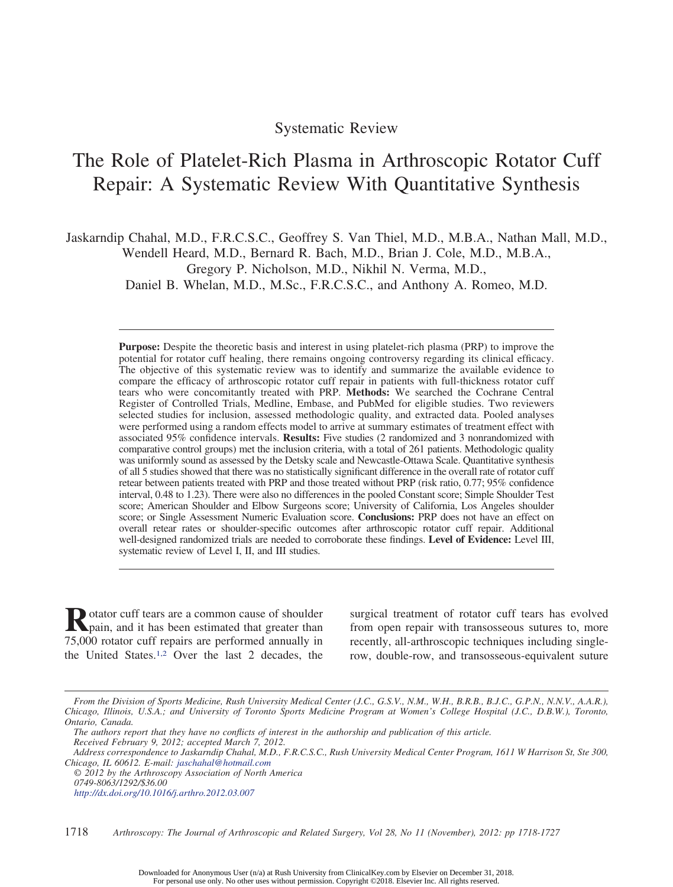# Systematic Review

# The Role of Platelet-Rich Plasma in Arthroscopic Rotator Cuff Repair: A Systematic Review With Quantitative Synthesis

Jaskarndip Chahal, M.D., F.R.C.S.C., Geoffrey S. Van Thiel, M.D., M.B.A., Nathan Mall, M.D., Wendell Heard, M.D., Bernard R. Bach, M.D., Brian J. Cole, M.D., M.B.A., Gregory P. Nicholson, M.D., Nikhil N. Verma, M.D.,

Daniel B. Whelan, M.D., M.Sc., F.R.C.S.C., and Anthony A. Romeo, M.D.

**Purpose:** Despite the theoretic basis and interest in using platelet-rich plasma (PRP) to improve the potential for rotator cuff healing, there remains ongoing controversy regarding its clinical efficacy. The objective of this systematic review was to identify and summarize the available evidence to compare the efficacy of arthroscopic rotator cuff repair in patients with full-thickness rotator cuff tears who were concomitantly treated with PRP. **Methods:** We searched the Cochrane Central Register of Controlled Trials, Medline, Embase, and PubMed for eligible studies. Two reviewers selected studies for inclusion, assessed methodologic quality, and extracted data. Pooled analyses were performed using a random effects model to arrive at summary estimates of treatment effect with associated 95% confidence intervals. **Results:** Five studies (2 randomized and 3 nonrandomized with comparative control groups) met the inclusion criteria, with a total of 261 patients. Methodologic quality was uniformly sound as assessed by the Detsky scale and Newcastle-Ottawa Scale. Quantitative synthesis of all 5 studies showed that there was no statistically significant difference in the overall rate of rotator cuff retear between patients treated with PRP and those treated without PRP (risk ratio, 0.77; 95% confidence interval, 0.48 to 1.23). There were also no differences in the pooled Constant score; Simple Shoulder Test score; American Shoulder and Elbow Surgeons score; University of California, Los Angeles shoulder score; or Single Assessment Numeric Evaluation score. **Conclusions:** PRP does not have an effect on overall retear rates or shoulder-specific outcomes after arthroscopic rotator cuff repair. Additional well-designed randomized trials are needed to corroborate these findings. **Level of Evidence:** Level III, systematic review of Level I, II, and III studies.

**R**otator cuff tears are a common cause of shoulder<br>pain, and it has been estimated that greater than 75,000 rotator cuff repairs are performed annually in the United States.1,2 Over the last 2 decades, the

surgical treatment of rotator cuff tears has evolved from open repair with transosseous sutures to, more recently, all-arthroscopic techniques including singlerow, double-row, and transosseous-equivalent suture

*From the Division of Sports Medicine, Rush University Medical Center (J.C., G.S.V., N.M., W.H., B.R.B., B.J.C., G.P.N., N.N.V., A.A.R.), Chicago, Illinois, U.S.A.; and University of Toronto Sports Medicine Program at Women's College Hospital (J.C., D.B.W.), Toronto, Ontario, Canada.*

*The authors report that they have no conflicts of interest in the authorship and publication of this article. Received February 9, 2012; accepted March 7, 2012.*

*Address correspondence to Jaskarndip Chahal, M.D., F.R.C.S.C., Rush University Medical Center Program, 1611 W Harrison St, Ste 300, Chicago, IL 60612. E-mail: jaschahal@hotmail.com*

*<sup>© 2012</sup> by the Arthroscopy Association of North America 0749-8063/1292/\$36.00 http://dx.doi.org/10.1016/j.arthro.2012.03.007*

<sup>1718</sup> *Arthroscopy: The Journal of Arthroscopic and Related Surgery, Vol 28, No 11 (November), 2012: pp 1718-1727*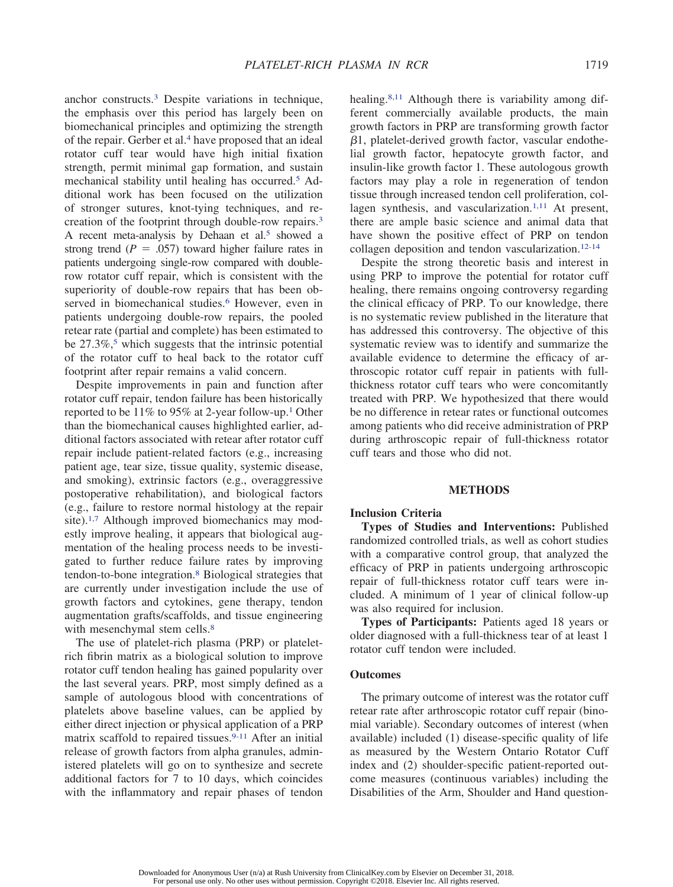anchor constructs.3 Despite variations in technique, the emphasis over this period has largely been on biomechanical principles and optimizing the strength of the repair. Gerber et al.<sup>4</sup> have proposed that an ideal rotator cuff tear would have high initial fixation strength, permit minimal gap formation, and sustain mechanical stability until healing has occurred.5 Additional work has been focused on the utilization of stronger sutures, knot-tying techniques, and recreation of the footprint through double-row repairs.3 A recent meta-analysis by Dehaan et al.<sup>5</sup> showed a strong trend  $(P = .057)$  toward higher failure rates in patients undergoing single-row compared with doublerow rotator cuff repair, which is consistent with the superiority of double-row repairs that has been observed in biomechanical studies.<sup>6</sup> However, even in patients undergoing double-row repairs, the pooled retear rate (partial and complete) has been estimated to be  $27.3\%$ ,<sup>5</sup> which suggests that the intrinsic potential of the rotator cuff to heal back to the rotator cuff footprint after repair remains a valid concern.

Despite improvements in pain and function after rotator cuff repair, tendon failure has been historically reported to be  $11\%$  to 95% at 2-year follow-up.<sup>1</sup> Other than the biomechanical causes highlighted earlier, additional factors associated with retear after rotator cuff repair include patient-related factors (e.g., increasing patient age, tear size, tissue quality, systemic disease, and smoking), extrinsic factors (e.g., overaggressive postoperative rehabilitation), and biological factors (e.g., failure to restore normal histology at the repair site).<sup>1,7</sup> Although improved biomechanics may modestly improve healing, it appears that biological augmentation of the healing process needs to be investigated to further reduce failure rates by improving tendon-to-bone integration.8 Biological strategies that are currently under investigation include the use of growth factors and cytokines, gene therapy, tendon augmentation grafts/scaffolds, and tissue engineering with mesenchymal stem cells.<sup>8</sup>

The use of platelet-rich plasma (PRP) or plateletrich fibrin matrix as a biological solution to improve rotator cuff tendon healing has gained popularity over the last several years. PRP, most simply defined as a sample of autologous blood with concentrations of platelets above baseline values, can be applied by either direct injection or physical application of a PRP matrix scaffold to repaired tissues.<sup>9-11</sup> After an initial release of growth factors from alpha granules, administered platelets will go on to synthesize and secrete additional factors for 7 to 10 days, which coincides with the inflammatory and repair phases of tendon

healing.8,11 Although there is variability among different commercially available products, the main growth factors in PRP are transforming growth factor  $\beta$ 1, platelet-derived growth factor, vascular endothelial growth factor, hepatocyte growth factor, and insulin-like growth factor 1. These autologous growth factors may play a role in regeneration of tendon tissue through increased tendon cell proliferation, collagen synthesis, and vascularization. $1,11$  At present, there are ample basic science and animal data that have shown the positive effect of PRP on tendon collagen deposition and tendon vascularization.12-14

Despite the strong theoretic basis and interest in using PRP to improve the potential for rotator cuff healing, there remains ongoing controversy regarding the clinical efficacy of PRP. To our knowledge, there is no systematic review published in the literature that has addressed this controversy. The objective of this systematic review was to identify and summarize the available evidence to determine the efficacy of arthroscopic rotator cuff repair in patients with fullthickness rotator cuff tears who were concomitantly treated with PRP. We hypothesized that there would be no difference in retear rates or functional outcomes among patients who did receive administration of PRP during arthroscopic repair of full-thickness rotator cuff tears and those who did not.

# **METHODS**

## **Inclusion Criteria**

**Types of Studies and Interventions:** Published randomized controlled trials, as well as cohort studies with a comparative control group, that analyzed the efficacy of PRP in patients undergoing arthroscopic repair of full-thickness rotator cuff tears were included. A minimum of 1 year of clinical follow-up was also required for inclusion.

**Types of Participants:** Patients aged 18 years or older diagnosed with a full-thickness tear of at least 1 rotator cuff tendon were included.

#### **Outcomes**

The primary outcome of interest was the rotator cuff retear rate after arthroscopic rotator cuff repair (binomial variable). Secondary outcomes of interest (when available) included (1) disease-specific quality of life as measured by the Western Ontario Rotator Cuff index and (2) shoulder-specific patient-reported outcome measures (continuous variables) including the Disabilities of the Arm, Shoulder and Hand question-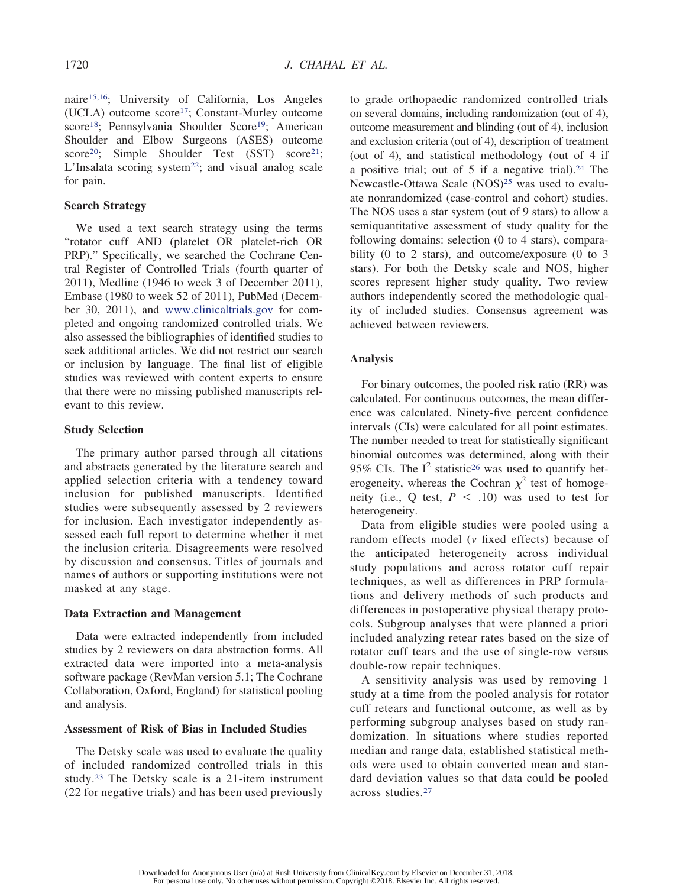naire15,16; University of California, Los Angeles (UCLA) outcome score17; Constant-Murley outcome score<sup>18</sup>; Pennsylvania Shoulder Score<sup>19</sup>; American Shoulder and Elbow Surgeons (ASES) outcome score<sup>20</sup>; Simple Shoulder Test (SST) score<sup>21</sup>; L'Insalata scoring system<sup>22</sup>; and visual analog scale for pain.

#### **Search Strategy**

We used a text search strategy using the terms "rotator cuff AND (platelet OR platelet-rich OR PRP)." Specifically, we searched the Cochrane Central Register of Controlled Trials (fourth quarter of 2011), Medline (1946 to week 3 of December 2011), Embase (1980 to week 52 of 2011), PubMed (December 30, 2011), and www.clinicaltrials.gov for completed and ongoing randomized controlled trials. We also assessed the bibliographies of identified studies to seek additional articles. We did not restrict our search or inclusion by language. The final list of eligible studies was reviewed with content experts to ensure that there were no missing published manuscripts relevant to this review.

### **Study Selection**

The primary author parsed through all citations and abstracts generated by the literature search and applied selection criteria with a tendency toward inclusion for published manuscripts. Identified studies were subsequently assessed by 2 reviewers for inclusion. Each investigator independently assessed each full report to determine whether it met the inclusion criteria. Disagreements were resolved by discussion and consensus. Titles of journals and names of authors or supporting institutions were not masked at any stage.

#### **Data Extraction and Management**

Data were extracted independently from included studies by 2 reviewers on data abstraction forms. All extracted data were imported into a meta-analysis software package (RevMan version 5.1; The Cochrane Collaboration, Oxford, England) for statistical pooling and analysis.

### **Assessment of Risk of Bias in Included Studies**

The Detsky scale was used to evaluate the quality of included randomized controlled trials in this study.23 The Detsky scale is a 21-item instrument (22 for negative trials) and has been used previously to grade orthopaedic randomized controlled trials on several domains, including randomization (out of 4), outcome measurement and blinding (out of 4), inclusion and exclusion criteria (out of 4), description of treatment (out of 4), and statistical methodology (out of 4 if a positive trial; out of  $5$  if a negative trial).<sup>24</sup> The Newcastle-Ottawa Scale (NOS)<sup>25</sup> was used to evaluate nonrandomized (case-control and cohort) studies. The NOS uses a star system (out of 9 stars) to allow a semiquantitative assessment of study quality for the following domains: selection (0 to 4 stars), comparability (0 to 2 stars), and outcome/exposure (0 to 3 stars). For both the Detsky scale and NOS, higher scores represent higher study quality. Two review authors independently scored the methodologic quality of included studies. Consensus agreement was achieved between reviewers.

## **Analysis**

For binary outcomes, the pooled risk ratio (RR) was calculated. For continuous outcomes, the mean difference was calculated. Ninety-five percent confidence intervals (CIs) were calculated for all point estimates. The number needed to treat for statistically significant binomial outcomes was determined, along with their 95% CIs. The  $I^2$  statistic<sup>26</sup> was used to quantify heterogeneity, whereas the Cochran  $\chi^2$  test of homogeneity (i.e., Q test,  $P \leq .10$ ) was used to test for heterogeneity.

Data from eligible studies were pooled using a random effects model (*v* fixed effects) because of the anticipated heterogeneity across individual study populations and across rotator cuff repair techniques, as well as differences in PRP formulations and delivery methods of such products and differences in postoperative physical therapy protocols. Subgroup analyses that were planned a priori included analyzing retear rates based on the size of rotator cuff tears and the use of single-row versus double-row repair techniques.

A sensitivity analysis was used by removing 1 study at a time from the pooled analysis for rotator cuff retears and functional outcome, as well as by performing subgroup analyses based on study randomization. In situations where studies reported median and range data, established statistical methods were used to obtain converted mean and standard deviation values so that data could be pooled across studies.27

Downloaded for Anonymous User (n/a) at Rush University from ClinicalKey.com by Elsevier on December 31, 2018. For personal use only. No other uses without permission. Copyright ©2018. Elsevier Inc. All rights reserved.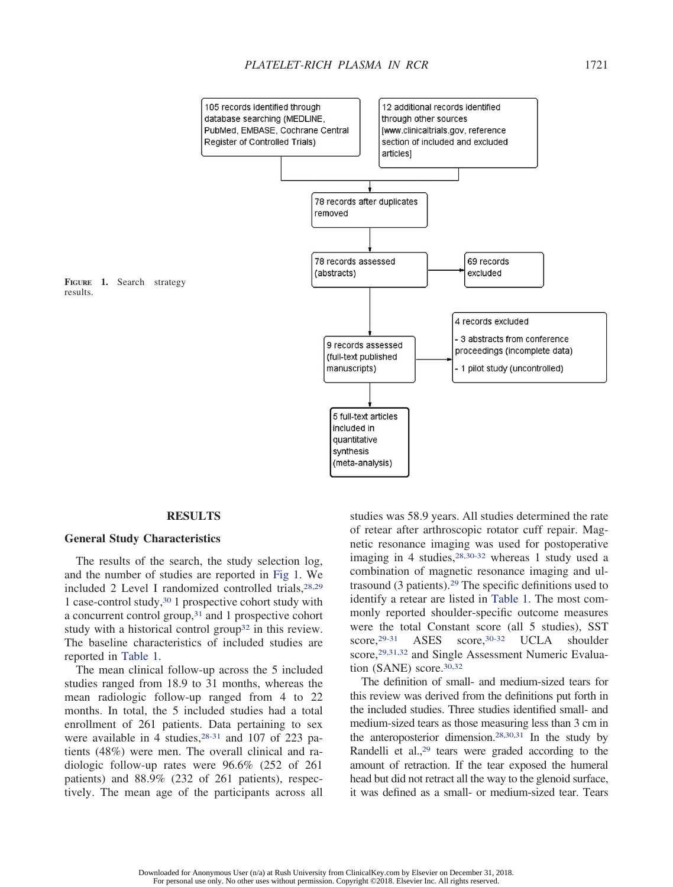

#### **RESULTS**

#### **General Study Characteristics**

The results of the search, the study selection log, and the number of studies are reported in Fig 1. We included 2 Level I randomized controlled trials, $28,29$ 1 case-control study,30 1 prospective cohort study with a concurrent control group,<sup>31</sup> and 1 prospective cohort study with a historical control group<sup>32</sup> in this review. The baseline characteristics of included studies are reported in Table 1.

The mean clinical follow-up across the 5 included studies ranged from 18.9 to 31 months, whereas the mean radiologic follow-up ranged from 4 to 22 months. In total, the 5 included studies had a total enrollment of 261 patients. Data pertaining to sex were available in 4 studies,  $28-31$  and 107 of 223 patients (48%) were men. The overall clinical and radiologic follow-up rates were 96.6% (252 of 261 patients) and 88.9% (232 of 261 patients), respectively. The mean age of the participants across all studies was 58.9 years. All studies determined the rate of retear after arthroscopic rotator cuff repair. Magnetic resonance imaging was used for postoperative imaging in 4 studies,  $28,30-32$  whereas 1 study used a combination of magnetic resonance imaging and ultrasound (3 patients).29 The specific definitions used to identify a retear are listed in Table 1. The most commonly reported shoulder-specific outcome measures were the total Constant score (all 5 studies), SST score,<sup>29-31</sup> ASES score,<sup>30-32</sup> UCLA shoulder score, <sup>29,31,32</sup> and Single Assessment Numeric Evaluation (SANE) score.<sup>30,32</sup>

The definition of small- and medium-sized tears for this review was derived from the definitions put forth in the included studies. Three studies identified small- and medium-sized tears as those measuring less than 3 cm in the anteroposterior dimension.28,30,31 In the study by Randelli et al.,<sup>29</sup> tears were graded according to the amount of retraction. If the tear exposed the humeral head but did not retract all the way to the glenoid surface, it was defined as a small- or medium-sized tear. Tears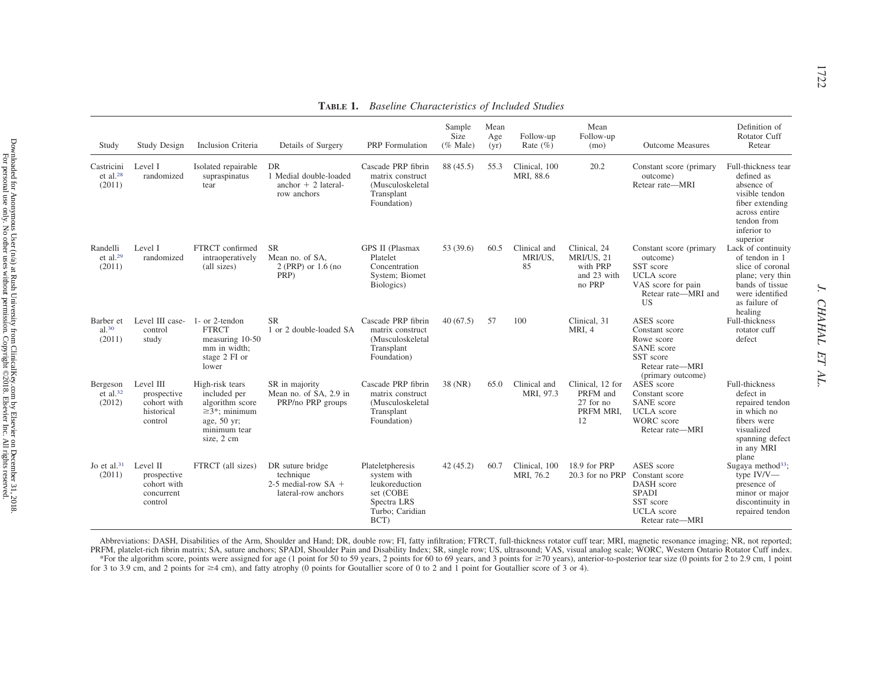| Study                                          | Study Design                                                     | Inclusion Criteria                                                                                                    | Details of Surgery                                                            | PRP Formulation                                                                                          | Sample<br>Size<br>$(\%$ Male) | Mean<br>Age<br>(vr) | Follow-up<br>Rate $(\% )$     | Mean<br>Follow-up<br>(mo)                                       | <b>Outcome Measures</b>                                                                                                   | Definition of<br>Rotator Cuff<br>Retear                                                                                                         |
|------------------------------------------------|------------------------------------------------------------------|-----------------------------------------------------------------------------------------------------------------------|-------------------------------------------------------------------------------|----------------------------------------------------------------------------------------------------------|-------------------------------|---------------------|-------------------------------|-----------------------------------------------------------------|---------------------------------------------------------------------------------------------------------------------------|-------------------------------------------------------------------------------------------------------------------------------------------------|
| Castricini<br>$et$ al. <sup>28</sup><br>(2011) | Level I<br>randomized                                            | Isolated repairable<br>supraspinatus<br>tear                                                                          | DR<br>1 Medial double-loaded<br>anchor $+2$ lateral-<br>row anchors           | Cascade PRP fibrin<br>matrix construct<br>(Musculoskeletal<br>Transplant<br>Foundation)                  | 88 (45.5)                     | 55.3                | Clinical, 100<br>MRI, 88.6    | 20.2                                                            | Constant score (primary<br>outcome)<br>Retear rate-MRI                                                                    | Full-thickness tear<br>defined as<br>absence of<br>visible tendon<br>fiber extending<br>across entire<br>tendon from<br>inferior to<br>superior |
| Randelli<br>et al. $29$<br>(2011)              | Level I<br>randomized                                            | FTRCT confirmed<br>intraoperatively<br>(all sizes)                                                                    | <b>SR</b><br>Mean no. of SA.<br>$2$ (PRP) or $1.6$ (no<br>PRP)                | GPS II (Plasmax<br>Platelet<br>Concentration<br>System; Biomet<br>Biologics)                             | 53 (39.6)                     | 60.5                | Clinical and<br>MRI/US.<br>85 | Clinical, 24<br>MRI/US, 21<br>with PRP<br>and 23 with<br>no PRP | Constant score (primary<br>outcome)<br>SST score<br><b>UCLA</b> score<br>VAS score for pain<br>Retear rate-MRI and<br>US. | Lack of continuity<br>of tendon in 1<br>slice of coronal<br>plane; very thin<br>bands of tissue<br>were identified<br>as failure of<br>healing  |
| Barber et<br>al. <sup>30</sup><br>(2011)       | Level III case-<br>control<br>study                              | 1- or 2-tendon<br><b>FTRCT</b><br>measuring 10-50<br>mm in width:<br>stage 2 FI or<br>lower                           | <b>SR</b><br>1 or 2 double-loaded SA                                          | Cascade PRP fibrin<br>matrix construct<br>(Musculoskeletal<br>Transplant<br>Foundation)                  | 40(67.5)                      | .57                 | 100                           | Clinical, 31<br>MRI, 4                                          | ASES score<br>Constant score<br>Rowe score<br>SANE score<br>SST score<br>Retear rate-MRI<br>(primary outcome)             | Full-thickness<br>rotator cuff<br>defect                                                                                                        |
| Bergeson<br>et al. $32$<br>(2012)              | Level III<br>prospective<br>cohort with<br>historical<br>control | High-risk tears<br>included per<br>algorithm score<br>$\geq$ 3*; minimum<br>age, 50 yr;<br>minimum tear<br>size, 2 cm | SR in majority<br>Mean no. of SA, 2.9 in<br>PRP/no PRP groups                 | Cascade PRP fibrin<br>matrix construct<br>(Musculoskeletal<br>Transplant<br>Foundation)                  | 38 (NR)                       | 65.0                | Clinical and<br>MRI, 97.3     | Clinical, 12 for<br>PRFM and<br>27 for no<br>PRFM MRI,<br>12    | ASES score<br>Constant score<br><b>SANE</b> score<br><b>UCLA</b> score<br><b>WORC</b> score<br>Retear rate-MRI            | Full-thickness<br>defect in<br>repaired tendon<br>in which no<br>fibers were<br>visualized<br>spanning defect<br>in any MRI<br>plane            |
| Jo et al. $31$<br>(2011)                       | Level II<br>prospective<br>cohort with<br>concurrent<br>control  | FTRCT (all sizes)                                                                                                     | DR suture bridge<br>technique<br>2-5 medial-row $SA +$<br>lateral-row anchors | Plateletpheresis<br>system with<br>leukoreduction<br>set (COBE<br>Spectra LRS<br>Turbo; Caridian<br>BCT) | 42(45.2)                      | 60.7                | Clinical, 100<br>MRI, 76.2    | 18.9 for PRP<br>20.3 for no PRP                                 | ASES score<br>Constant score<br>DASH score<br><b>SPADI</b><br>SST score<br><b>UCLA</b> score<br>Retear rate-MRI           | Sugaya method <sup>33</sup> ;<br>type IV/V-<br>presence of<br>minor or major<br>discontinuity in<br>repaired tendon                             |

**TABLE 1.** *Baseline Characteristics of Included Studies*

Abbreviations: DASH, Disabilities of the Arm, Shoulder and Hand; DR, double row; FI, fatty infiltration; FTRCT, full-thickness rotator cuff tear; MRI, magnetic resonance imaging; NR, not reported; PRFM, platelet-rich fibrin matrix; SA, suture anchors; SPADI, Shoulder Pain and Disability Index; SR, single row; US, ultrasound; VAS, visual analog scale; WORC, Western Ontario Rotator Cuff index. \*For the algorithm score, points were assigned for age (1 point for 50 to 59 years, 2 points for 60 to 69 years, and 3 points for ≥70 years), anterior-to-posterior tear size (0 points for 2 to 2.9 cm, 1 point for 3 to 3.9 cm, and 2 points for 4 cm), and fatty atrophy (0 points for Goutallier score of 0 to 2 and 1 point for Goutallier score of 3 or 4).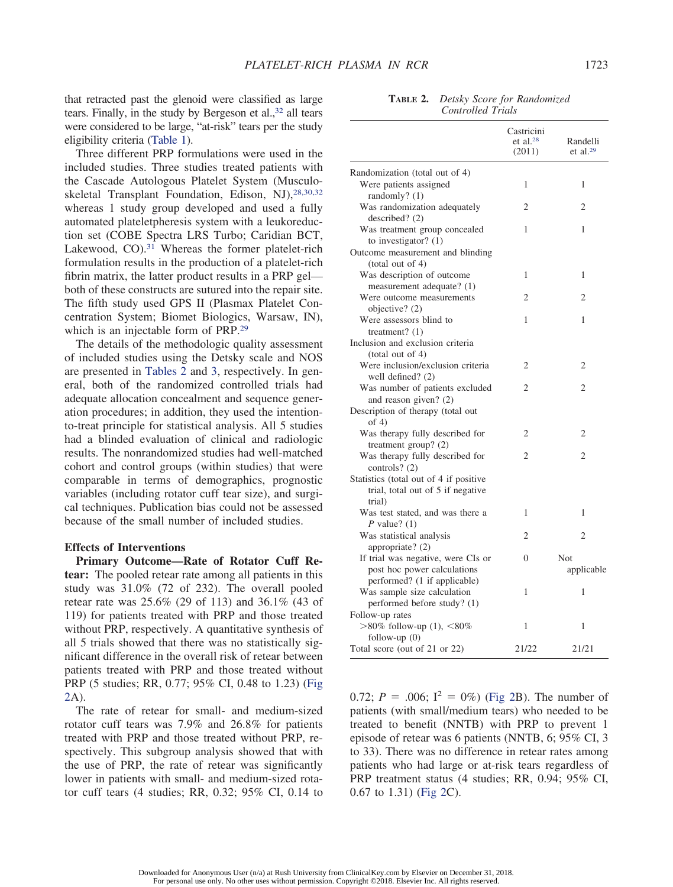that retracted past the glenoid were classified as large tears. Finally, in the study by Bergeson et al.,<sup>32</sup> all tears were considered to be large, "at-risk" tears per the study eligibility criteria (Table 1).

Three different PRP formulations were used in the included studies. Three studies treated patients with the Cascade Autologous Platelet System (Musculoskeletal Transplant Foundation, Edison, NJ),28,30,32 whereas 1 study group developed and used a fully automated plateletpheresis system with a leukoreduction set (COBE Spectra LRS Turbo; Caridian BCT, Lakewood, CO).<sup>31</sup> Whereas the former platelet-rich formulation results in the production of a platelet-rich fibrin matrix, the latter product results in a PRP gel both of these constructs are sutured into the repair site. The fifth study used GPS II (Plasmax Platelet Concentration System; Biomet Biologics, Warsaw, IN), which is an injectable form of PRP.29

The details of the methodologic quality assessment of included studies using the Detsky scale and NOS are presented in Tables 2 and 3, respectively. In general, both of the randomized controlled trials had adequate allocation concealment and sequence generation procedures; in addition, they used the intentionto-treat principle for statistical analysis. All 5 studies had a blinded evaluation of clinical and radiologic results. The nonrandomized studies had well-matched cohort and control groups (within studies) that were comparable in terms of demographics, prognostic variables (including rotator cuff tear size), and surgical techniques. Publication bias could not be assessed because of the small number of included studies.

# **Effects of Interventions**

**Primary Outcome—Rate of Rotator Cuff Retear:** The pooled retear rate among all patients in this study was 31.0% (72 of 232). The overall pooled retear rate was 25.6% (29 of 113) and 36.1% (43 of 119) for patients treated with PRP and those treated without PRP, respectively. A quantitative synthesis of all 5 trials showed that there was no statistically significant difference in the overall risk of retear between patients treated with PRP and those treated without PRP (5 studies; RR, 0.77; 95% CI, 0.48 to 1.23) (Fig 2A).

The rate of retear for small- and medium-sized rotator cuff tears was 7.9% and 26.8% for patients treated with PRP and those treated without PRP, respectively. This subgroup analysis showed that with the use of PRP, the rate of retear was significantly lower in patients with small- and medium-sized rotator cuff tears (4 studies; RR, 0.32; 95% CI, 0.14 to

**TABLE 2.** *Detsky Score for Randomized Controlled Trials*

|                                                                                                   | Castricini<br>et al. $28$<br>(2011) | Randelli<br>et al. $29$ |
|---------------------------------------------------------------------------------------------------|-------------------------------------|-------------------------|
| Randomization (total out of 4)<br>Were patients assigned                                          | 1                                   | 1                       |
| randomly? (1)<br>Was randomization adequately                                                     | 2                                   | 2                       |
| described? (2)<br>Was treatment group concealed<br>to investigator? $(1)$                         | 1                                   | 1                       |
| Outcome measurement and blinding<br>(total out of 4)                                              |                                     |                         |
| Was description of outcome<br>measurement adequate? (1)                                           | 1                                   | 1                       |
| Were outcome measurements<br>objective? (2)                                                       | 2                                   | 2                       |
| Were assessors blind to<br>treatment? $(1)$                                                       | 1                                   | 1                       |
| Inclusion and exclusion criteria<br>(total out of 4)                                              |                                     |                         |
| Were inclusion/exclusion criteria<br>well defined? (2)                                            | 2                                   | $\overline{2}$          |
| Was number of patients excluded<br>and reason given? (2)                                          | $\overline{c}$                      | $\overline{2}$          |
| Description of therapy (total out<br>of $4)$                                                      |                                     |                         |
| Was therapy fully described for<br>treatment group? (2)                                           | 2                                   | 2                       |
| Was therapy fully described for<br>controls? $(2)$                                                | $\overline{c}$                      | $\overline{2}$          |
| Statistics (total out of 4 if positive<br>trial, total out of 5 if negative<br>trial)             |                                     |                         |
| Was test stated, and was there a<br>P value? $(1)$                                                | 1                                   | 1                       |
| Was statistical analysis<br>appropriate? (2)                                                      | $\overline{c}$                      | $\overline{2}$          |
| If trial was negative, were CIs or<br>post hoc power calculations<br>performed? (1 if applicable) | $\theta$                            | Not<br>applicable       |
| Was sample size calculation<br>performed before study? (1)                                        | 1                                   | 1                       |
| Follow-up rates                                                                                   |                                     |                         |
| >80% follow-up (1), <80%<br>follow-up $(0)$                                                       | 1                                   | 1                       |
| Total score (out of 21 or 22)                                                                     | 21/22                               | 21/21                   |

0.72;  $P = .006$ ;  $I^2 = 0\%$ ) (Fig 2B). The number of patients (with small/medium tears) who needed to be treated to benefit (NNTB) with PRP to prevent 1 episode of retear was 6 patients (NNTB, 6; 95% CI, 3 to 33). There was no difference in retear rates among patients who had large or at-risk tears regardless of PRP treatment status (4 studies; RR, 0.94; 95% CI, 0.67 to 1.31) (Fig 2C).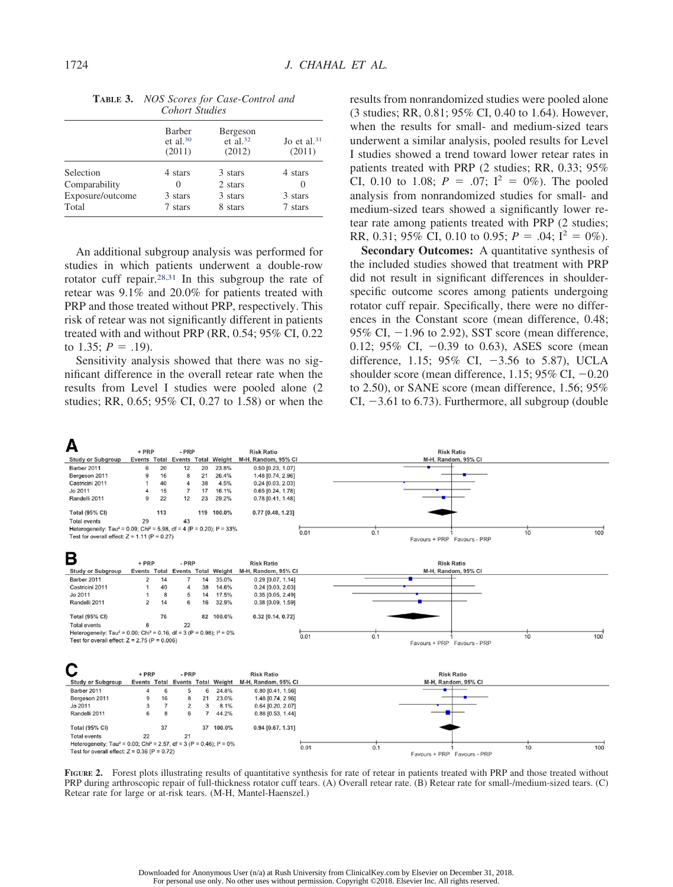|                  | Barber<br>et al. <sup>30</sup><br>(2011) | Bergeson<br>et al. <sup>32</sup><br>(2012) | Jo et al. <sup>31</sup><br>(2011) |
|------------------|------------------------------------------|--------------------------------------------|-----------------------------------|
| Selection        | 4 stars                                  | 3 stars                                    | 4 stars                           |
| Comparability    | $\theta$                                 | 2 stars                                    | $\left( \right)$                  |
| Exposure/outcome | 3 stars                                  | 3 stars                                    | 3 stars                           |
| Total            | 7 stars                                  | 8 stars                                    | 7 stars                           |

**TABLE 3.** *NOS Scores for Case-Control and Cohort Studies*

An additional subgroup analysis was performed for studies in which patients underwent a double-row rotator cuff repair.28,31 In this subgroup the rate of retear was 9.1% and 20.0% for patients treated with PRP and those treated without PRP, respectively. This risk of retear was not significantly different in patients treated with and without PRP (RR, 0.54; 95% CI, 0.22 to 1.35;  $P = .19$ ).

Sensitivity analysis showed that there was no significant difference in the overall retear rate when the results from Level I studies were pooled alone (2 studies; RR, 0.65; 95% CI, 0.27 to 1.58) or when the results from nonrandomized studies were pooled alone (3 studies; RR, 0.81; 95% CI, 0.40 to 1.64). However, when the results for small- and medium-sized tears underwent a similar analysis, pooled results for Level I studies showed a trend toward lower retear rates in patients treated with PRP (2 studies; RR, 0.33; 95% CI, 0.10 to 1.08;  $P = .07$ ;  $I^2 = 0\%$ ). The pooled analysis from nonrandomized studies for small- and medium-sized tears showed a significantly lower retear rate among patients treated with PRP (2 studies; RR, 0.31; 95% CI, 0.10 to 0.95;  $P = .04$ ;  $I^2 = 0\%$ ).

**Secondary Outcomes:** A quantitative synthesis of the included studies showed that treatment with PRP did not result in significant differences in shoulderspecific outcome scores among patients undergoing rotator cuff repair. Specifically, there were no differences in the Constant score (mean difference, 0.48;  $95\%$  CI,  $-1.96$  to 2.92), SST score (mean difference, 0.12; 95% CI,  $-0.39$  to 0.63), ASES score (mean difference, 1.15; 95% CI,  $-3.56$  to 5.87), UCLA shoulder score (mean difference, 1.15;  $95\%$  CI,  $-0.20$ to 2.50), or SANE score (mean difference, 1.56; 95% CI,  $-3.61$  to 6.73). Furthermore, all subgroup (double



FIGURE 2. Forest plots illustrating results of quantitative synthesis for rate of retear in patients treated with PRP and those treated without PRP during arthroscopic repair of full-thickness rotator cuff tears. (A) Overall retear rate. (B) Retear rate for small-/medium-sized tears. (C) Retear rate for large or at-risk tears. (M-H, Mantel-Haenszel.)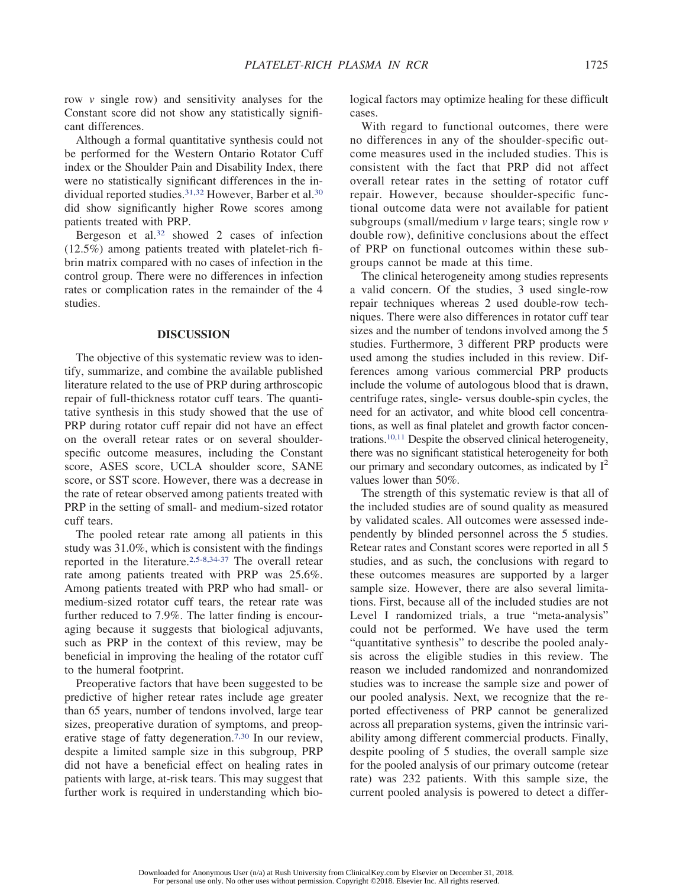row *v* single row) and sensitivity analyses for the Constant score did not show any statistically significant differences.

Although a formal quantitative synthesis could not be performed for the Western Ontario Rotator Cuff index or the Shoulder Pain and Disability Index, there were no statistically significant differences in the individual reported studies.<sup>31,32</sup> However, Barber et al.<sup>30</sup> did show significantly higher Rowe scores among patients treated with PRP.

Bergeson et al.32 showed 2 cases of infection (12.5%) among patients treated with platelet-rich fibrin matrix compared with no cases of infection in the control group. There were no differences in infection rates or complication rates in the remainder of the 4 studies.

#### **DISCUSSION**

The objective of this systematic review was to identify, summarize, and combine the available published literature related to the use of PRP during arthroscopic repair of full-thickness rotator cuff tears. The quantitative synthesis in this study showed that the use of PRP during rotator cuff repair did not have an effect on the overall retear rates or on several shoulderspecific outcome measures, including the Constant score, ASES score, UCLA shoulder score, SANE score, or SST score. However, there was a decrease in the rate of retear observed among patients treated with PRP in the setting of small- and medium-sized rotator cuff tears.

The pooled retear rate among all patients in this study was 31.0%, which is consistent with the findings reported in the literature.2,5-8,34-37 The overall retear rate among patients treated with PRP was 25.6%. Among patients treated with PRP who had small- or medium-sized rotator cuff tears, the retear rate was further reduced to 7.9%. The latter finding is encouraging because it suggests that biological adjuvants, such as PRP in the context of this review, may be beneficial in improving the healing of the rotator cuff to the humeral footprint.

Preoperative factors that have been suggested to be predictive of higher retear rates include age greater than 65 years, number of tendons involved, large tear sizes, preoperative duration of symptoms, and preoperative stage of fatty degeneration.<sup>7,30</sup> In our review, despite a limited sample size in this subgroup, PRP did not have a beneficial effect on healing rates in patients with large, at-risk tears. This may suggest that further work is required in understanding which biological factors may optimize healing for these difficult cases.

With regard to functional outcomes, there were no differences in any of the shoulder-specific outcome measures used in the included studies. This is consistent with the fact that PRP did not affect overall retear rates in the setting of rotator cuff repair. However, because shoulder-specific functional outcome data were not available for patient subgroups (small/medium *v* large tears; single row *v* double row), definitive conclusions about the effect of PRP on functional outcomes within these subgroups cannot be made at this time.

The clinical heterogeneity among studies represents a valid concern. Of the studies, 3 used single-row repair techniques whereas 2 used double-row techniques. There were also differences in rotator cuff tear sizes and the number of tendons involved among the 5 studies. Furthermore, 3 different PRP products were used among the studies included in this review. Differences among various commercial PRP products include the volume of autologous blood that is drawn, centrifuge rates, single- versus double-spin cycles, the need for an activator, and white blood cell concentrations, as well as final platelet and growth factor concentrations.10,11 Despite the observed clinical heterogeneity, there was no significant statistical heterogeneity for both our primary and secondary outcomes, as indicated by  $I^2$ values lower than 50%.

The strength of this systematic review is that all of the included studies are of sound quality as measured by validated scales. All outcomes were assessed independently by blinded personnel across the 5 studies. Retear rates and Constant scores were reported in all 5 studies, and as such, the conclusions with regard to these outcomes measures are supported by a larger sample size. However, there are also several limitations. First, because all of the included studies are not Level I randomized trials, a true "meta-analysis" could not be performed. We have used the term "quantitative synthesis" to describe the pooled analysis across the eligible studies in this review. The reason we included randomized and nonrandomized studies was to increase the sample size and power of our pooled analysis. Next, we recognize that the reported effectiveness of PRP cannot be generalized across all preparation systems, given the intrinsic variability among different commercial products. Finally, despite pooling of 5 studies, the overall sample size for the pooled analysis of our primary outcome (retear rate) was 232 patients. With this sample size, the current pooled analysis is powered to detect a differ-

Downloaded for Anonymous User (n/a) at Rush University from ClinicalKey.com by Elsevier on December 31, 2018. For personal use only. No other uses without permission. Copyright ©2018. Elsevier Inc. All rights reserved.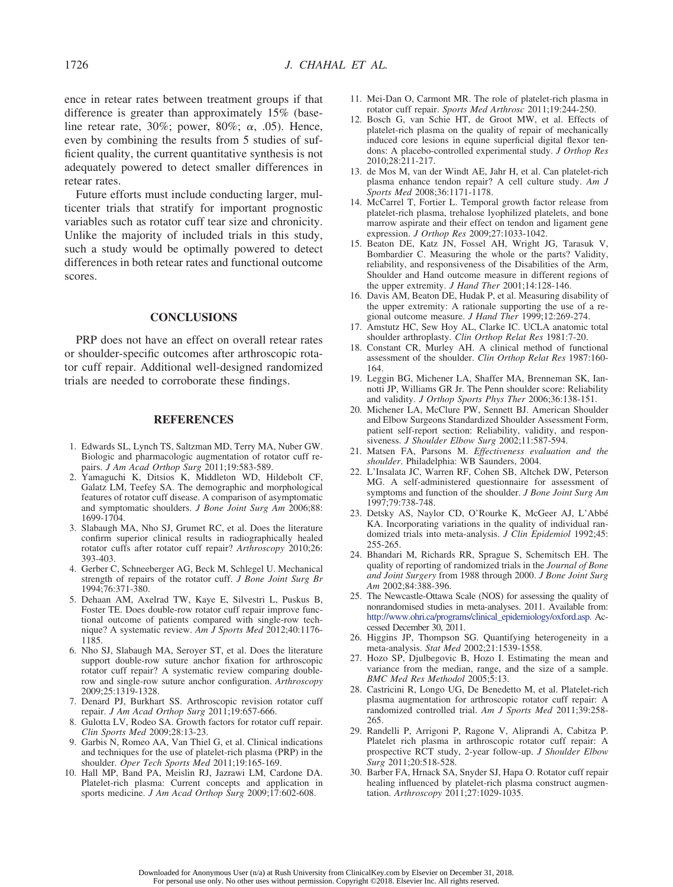ence in retear rates between treatment groups if that difference is greater than approximately 15% (baseline retear rate, 30%; power, 80%;  $\alpha$ , 05). Hence, even by combining the results from 5 studies of sufficient quality, the current quantitative synthesis is not adequately powered to detect smaller differences in retear rates.

Future efforts must include conducting larger, multicenter trials that stratify for important prognostic variables such as rotator cuff tear size and chronicity. Unlike the majority of included trials in this study, such a study would be optimally powered to detect differences in both retear rates and functional outcome scores.

#### **CONCLUSIONS**

PRP does not have an effect on overall retear rates or shoulder-specific outcomes after arthroscopic rotator cuff repair. Additional well-designed randomized trials are needed to corroborate these findings.

### **REFERENCES**

- 1. Edwards SL, Lynch TS, Saltzman MD, Terry MA, Nuber GW. Biologic and pharmacologic augmentation of rotator cuff repairs. *J Am Acad Orthop Surg* 2011;19:583-589.
- 2. Yamaguchi K, Ditsios K, Middleton WD, Hildebolt CF, Galatz LM, Teefey SA. The demographic and morphological features of rotator cuff disease. A comparison of asymptomatic and symptomatic shoulders. *J Bone Joint Surg Am* 2006;88: 1699-1704.
- 3. Slabaugh MA, Nho SJ, Grumet RC, et al. Does the literature confirm superior clinical results in radiographically healed rotator cuffs after rotator cuff repair? *Arthroscopy* 2010;26: 393-403.
- 4. Gerber C, Schneeberger AG, Beck M, Schlegel U. Mechanical strength of repairs of the rotator cuff. *J Bone Joint Surg Br* 1994;76:371-380.
- 5. Dehaan AM, Axelrad TW, Kaye E, Silvestri L, Puskus B, Foster TE. Does double-row rotator cuff repair improve functional outcome of patients compared with single-row technique? A systematic review. *Am J Sports Med* 2012;40:1176- 1185.
- 6. Nho SJ, Slabaugh MA, Seroyer ST, et al. Does the literature support double-row suture anchor fixation for arthroscopic rotator cuff repair? A systematic review comparing doublerow and single-row suture anchor configuration. *Arthroscopy* 2009;25:1319-1328.
- 7. Denard PJ, Burkhart SS. Arthroscopic revision rotator cuff repair. *J Am Acad Orthop Surg* 2011;19:657-666.
- 8. Gulotta LV, Rodeo SA. Growth factors for rotator cuff repair. *Clin Sports Med* 2009;28:13-23.
- 9. Garbis N, Romeo AA, Van Thiel G, et al. Clinical indications and techniques for the use of platelet-rich plasma (PRP) in the shoulder. *Oper Tech Sports Med* 2011;19:165-169.
- 10. Hall MP, Band PA, Meislin RJ, Jazrawi LM, Cardone DA. Platelet-rich plasma: Current concepts and application in sports medicine. *J Am Acad Orthop Surg* 2009;17:602-608.
- 11. Mei-Dan O, Carmont MR. The role of platelet-rich plasma in rotator cuff repair. *Sports Med Arthrosc* 2011;19:244-250.
- 12. Bosch G, van Schie HT, de Groot MW, et al. Effects of platelet-rich plasma on the quality of repair of mechanically induced core lesions in equine superficial digital flexor tendons: A placebo-controlled experimental study. *J Orthop Res* 2010;28:211-217.
- 13. de Mos M, van der Windt AE, Jahr H, et al. Can platelet-rich plasma enhance tendon repair? A cell culture study. *Am J Sports Med* 2008;36:1171-1178.
- 14. McCarrel T, Fortier L. Temporal growth factor release from platelet-rich plasma, trehalose lyophilized platelets, and bone marrow aspirate and their effect on tendon and ligament gene expression. *J Orthop Res* 2009;27:1033-1042.
- 15. Beaton DE, Katz JN, Fossel AH, Wright JG, Tarasuk V, Bombardier C. Measuring the whole or the parts? Validity, reliability, and responsiveness of the Disabilities of the Arm, Shoulder and Hand outcome measure in different regions of the upper extremity. *J Hand Ther* 2001;14:128-146.
- 16. Davis AM, Beaton DE, Hudak P, et al. Measuring disability of the upper extremity: A rationale supporting the use of a regional outcome measure. *J Hand Ther* 1999;12:269-274.
- 17. Amstutz HC, Sew Hoy AL, Clarke IC. UCLA anatomic total shoulder arthroplasty. *Clin Orthop Relat Res* 1981:7-20.
- 18. Constant CR, Murley AH. A clinical method of functional assessment of the shoulder. *Clin Orthop Relat Res* 1987:160- 164.
- 19. Leggin BG, Michener LA, Shaffer MA, Brenneman SK, Iannotti JP, Williams GR Jr. The Penn shoulder score: Reliability and validity. *J Orthop Sports Phys Ther* 2006;36:138-151.
- 20. Michener LA, McClure PW, Sennett BJ. American Shoulder and Elbow Surgeons Standardized Shoulder Assessment Form, patient self-report section: Reliability, validity, and responsiveness. *J Shoulder Elbow Surg* 2002;11:587-594.
- 21. Matsen FA, Parsons M. *Effectiveness evaluation and the shoulder*. Philadelphia: WB Saunders, 2004.
- 22. L'Insalata JC, Warren RF, Cohen SB, Altchek DW, Peterson MG. A self-administered questionnaire for assessment of symptoms and function of the shoulder. *J Bone Joint Surg Am* 1997;79:738-748.
- 23. Detsky AS, Naylor CD, O'Rourke K, McGeer AJ, L'Abbé KA. Incorporating variations in the quality of individual randomized trials into meta-analysis. *J Clin Epidemiol* 1992;45: 255-265.
- 24. Bhandari M, Richards RR, Sprague S, Schemitsch EH. The quality of reporting of randomized trials in the *Journal of Bone and Joint Surgery* from 1988 through 2000. *J Bone Joint Surg Am* 2002;84:388-396.
- 25. The Newcastle-Ottawa Scale (NOS) for assessing the quality of nonrandomised studies in meta-analyses. 2011. Available from: http://www.ohri.ca/programs/clinical\_epidemiology/oxford.asp. Accessed December 30, 2011.
- 26. Higgins JP, Thompson SG. Quantifying heterogeneity in a meta-analysis. *Stat Med* 2002;21:1539-1558.
- 27. Hozo SP, Djulbegovic B, Hozo I. Estimating the mean and variance from the median, range, and the size of a sample. *BMC Med Res Methodol* 2005;5:13.
- 28. Castricini R, Longo UG, De Benedetto M, et al. Platelet-rich plasma augmentation for arthroscopic rotator cuff repair: A randomized controlled trial. *Am J Sports Med* 2011;39:258- 265.
- 29. Randelli P, Arrigoni P, Ragone V, Aliprandi A, Cabitza P. Platelet rich plasma in arthroscopic rotator cuff repair: A prospective RCT study, 2-year follow-up. *J Shoulder Elbow Surg* 2011;20:518-528.
- 30. Barber FA, Hrnack SA, Snyder SJ, Hapa O. Rotator cuff repair healing influenced by platelet-rich plasma construct augmentation. *Arthroscopy* 2011;27:1029-1035.